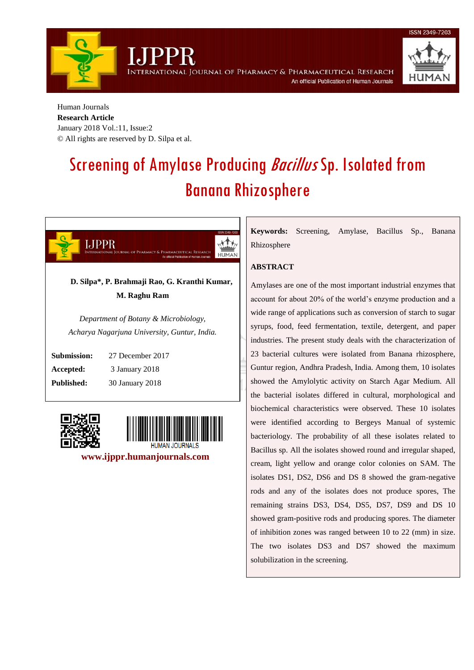International Journal of Pharmacy & Pharmaceutical Research An official Publication of Human Journals

Human Journals **Research Article**  January 2018 Vol.:11, Issue:2 © All rights are reserved by D. Silpa et al.

# Screening of Amylase Producing *Bacillus* Sp. Isolated from Banana Rhizosphere



*Acharya Nagarjuna University, Guntur, India.*

**Submission:** 27 December 2017 **Accepted:** 3 January 2018 **Published:** 30 January 2018





 **www.ijppr.humanjournals.com**

**Keywords:** Screening, Amylase, Bacillus Sp., Banana Rhizosphere

# **ABSTRACT**

Amylases are one of the most important industrial enzymes that account for about 20% of the world's enzyme production and a wide range of applications such as conversion of starch to sugar syrups, food, feed fermentation, textile, detergent, and paper industries. The present study deals with the characterization of 23 bacterial cultures were isolated from Banana rhizosphere, Guntur region, Andhra Pradesh, India. Among them, 10 isolates showed the Amylolytic activity on Starch Agar Medium. All the bacterial isolates differed in cultural, morphological and biochemical characteristics were observed. These 10 isolates were identified according to Bergeys Manual of systemic bacteriology. The probability of all these isolates related to Bacillus sp. All the isolates showed round and irregular shaped, cream, light yellow and orange color colonies on SAM. The isolates DS1, DS2, DS6 and DS 8 showed the gram-negative rods and any of the isolates does not produce spores, The remaining strains DS3, DS4, DS5, DS7, DS9 and DS 10 showed gram-positive rods and producing spores. The diameter of inhibition zones was ranged between 10 to 22 (mm) in size. The two isolates DS3 and DS7 showed the maximum solubilization in the screening.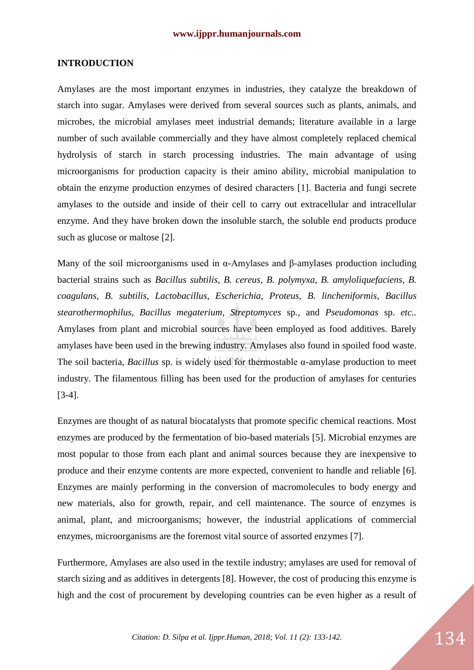#### **INTRODUCTION**

Amylases are the most important enzymes in industries, they catalyze the breakdown of starch into sugar. Amylases were derived from several sources such as plants, animals, and microbes, the microbial amylases meet industrial demands; literature available in a large number of such available commercially and they have almost completely replaced chemical hydrolysis of starch in starch processing industries. The main advantage of using microorganisms for production capacity is their amino ability, microbial manipulation to obtain the enzyme production enzymes of desired characters [1]. Bacteria and fungi secrete amylases to the outside and inside of their cell to carry out extracellular and intracellular enzyme. And they have broken down the insoluble starch, the soluble end products produce such as glucose or maltose [2].

Many of the soil microorganisms used in α-Amylases and β-amylases production including bacterial strains such as *Bacillus subtilis, B. cereus, B. polymyxa, B. amyloliquefaciens, B. coagulans, B. subtilis, Lactobacillus, Escherichia, Proteus, B. lincheniformis, Bacillus stearothermophilus, Bacillus megaterium, Streptomyces* sp*.,* and *Pseudomonas* sp. *etc..* Amylases from plant and microbial sources have been employed as food additives. Barely amylases have been used in the brewing industry. Amylases also found in spoiled food waste. The soil bacteria, *Bacillus* sp. is widely used for thermostable α-amylase production to meet industry. The filamentous filling has been used for the production of amylases for centuries [3-4].

Enzymes are thought of as natural biocatalysts that promote specific chemical reactions. Most enzymes are produced by the fermentation of bio-based materials [5]. Microbial enzymes are most popular to those from each plant and animal sources because they are inexpensive to produce and their enzyme contents are more expected, convenient to handle and reliable [6]. Enzymes are mainly performing in the conversion of macromolecules to body energy and new materials, also for growth, repair, and cell maintenance. The source of enzymes is animal, plant, and microorganisms; however, the industrial applications of commercial enzymes, microorganisms are the foremost vital source of assorted enzymes [7].

Furthermore, Amylases are also used in the textile industry; amylases are used for removal of starch sizing and as additives in detergents [8]. However, the cost of producing this enzyme is high and the cost of procurement by developing countries can be even higher as a result of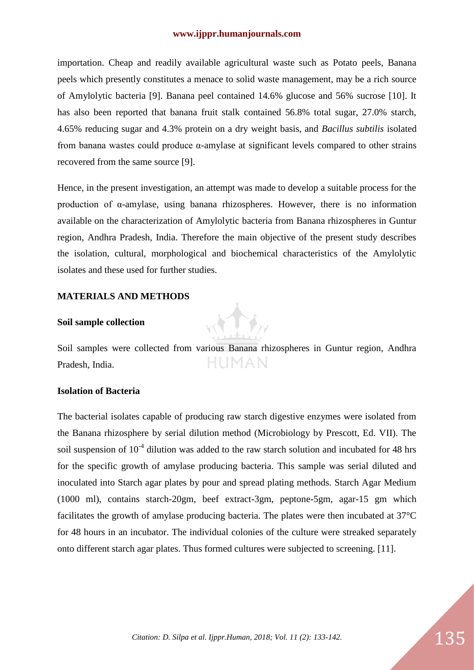#### **www.ijppr.humanjournals.com**

importation. Cheap and readily available agricultural waste such as Potato peels, Banana peels which presently constitutes a menace to solid waste management, may be a rich source of Amylolytic bacteria [9]. Banana peel contained 14.6% glucose and 56% sucrose [10]. It has also been reported that banana fruit stalk contained 56.8% total sugar, 27.0% starch, 4.65% reducing sugar and 4.3% protein on a dry weight basis, and *Bacillus subtilis* isolated from banana wastes could produce α-amylase at significant levels compared to other strains recovered from the same source [9].

Hence, in the present investigation, an attempt was made to develop a suitable process for the production of α-amylase, using banana rhizospheres. However, there is no information available on the characterization of Amylolytic bacteria from Banana rhizospheres in Guntur region, Andhra Pradesh, India. Therefore the main objective of the present study describes the isolation, cultural, morphological and biochemical characteristics of the Amylolytic isolates and these used for further studies.

#### **MATERIALS AND METHODS**

#### **Soil sample collection**

Soil samples were collected from various Banana rhizospheres in Guntur region, Andhra Pradesh, India.

#### **Isolation of Bacteria**

The bacterial isolates capable of producing raw starch digestive enzymes were isolated from the Banana rhizosphere by serial dilution method (Microbiology by Prescott, Ed. VII). The soil suspension of  $10<sup>-4</sup>$  dilution was added to the raw starch solution and incubated for 48 hrs for the specific growth of amylase producing bacteria. This sample was serial diluted and inoculated into Starch agar plates by pour and spread plating methods. Starch Agar Medium (1000 ml), contains starch-20gm, beef extract-3gm, peptone-5gm, agar-15 gm which facilitates the growth of amylase producing bacteria. The plates were then incubated at 37°C for 48 hours in an incubator. The individual colonies of the culture were streaked separately onto different starch agar plates. Thus formed cultures were subjected to screening. [11].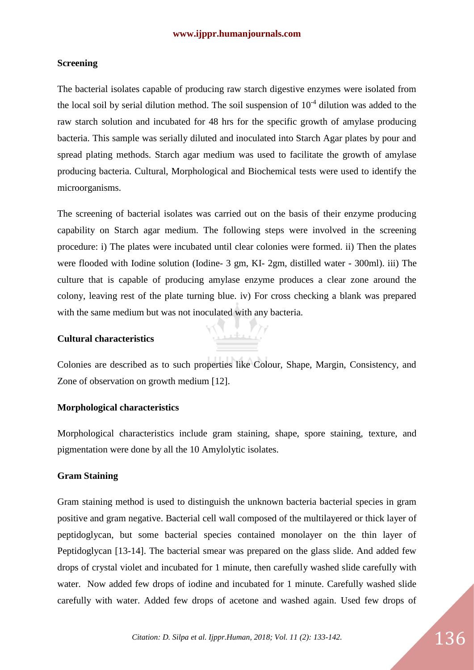# **Screening**

The bacterial isolates capable of producing raw starch digestive enzymes were isolated from the local soil by serial dilution method. The soil suspension of  $10<sup>-4</sup>$  dilution was added to the raw starch solution and incubated for 48 hrs for the specific growth of amylase producing bacteria. This sample was serially diluted and inoculated into Starch Agar plates by pour and spread plating methods. Starch agar medium was used to facilitate the growth of amylase producing bacteria. Cultural, Morphological and Biochemical tests were used to identify the microorganisms.

The screening of bacterial isolates was carried out on the basis of their enzyme producing capability on Starch agar medium. The following steps were involved in the screening procedure: i) The plates were incubated until clear colonies were formed. ii) Then the plates were flooded with Iodine solution (Iodine- 3 gm, KI- 2gm, distilled water - 300ml). iii) The culture that is capable of producing amylase enzyme produces a clear zone around the colony, leaving rest of the plate turning blue. iv) For cross checking a blank was prepared with the same medium but was not inoculated with any bacteria.

# **Cultural characteristics**



<u> Visill</u>

#### **Morphological characteristics**

Morphological characteristics include gram staining, shape, spore staining, texture, and pigmentation were done by all the 10 Amylolytic isolates.

# **Gram Staining**

Gram staining method is used to distinguish the unknown bacteria bacterial species in gram positive and gram negative. Bacterial cell wall composed of the multilayered or thick layer of peptidoglycan, but some bacterial species contained monolayer on the thin layer of Peptidoglycan [13-14]. The bacterial smear was prepared on the glass slide. And added few drops of crystal violet and incubated for 1 minute, then carefully washed slide carefully with water. Now added few drops of iodine and incubated for 1 minute. Carefully washed slide carefully with water. Added few drops of acetone and washed again. Used few drops of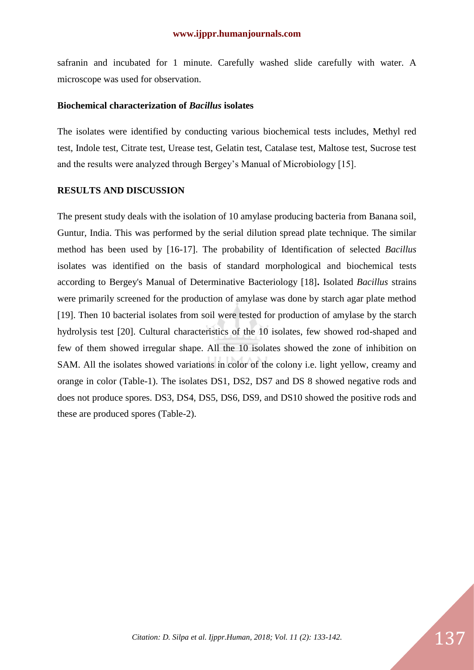safranin and incubated for 1 minute. Carefully washed slide carefully with water. A microscope was used for observation.

#### **Biochemical characterization of** *Bacillus* **isolates**

The isolates were identified by conducting various biochemical tests includes, Methyl red test, Indole test, Citrate test, Urease test, Gelatin test, Catalase test, Maltose test, Sucrose test and the results were analyzed through Bergey's Manual of Microbiology [15].

#### **RESULTS AND DISCUSSION**

The present study deals with the isolation of 10 amylase producing bacteria from Banana soil, Guntur, India. This was performed by the serial dilution spread plate technique. The similar method has been used by [16-17]. The probability of Identification of selected *Bacillus*  isolates was identified on the basis of standard morphological and biochemical tests according to Bergey's Manual of Determinative Bacteriology [18]**.** Isolated *Bacillus* strains were primarily screened for the production of amylase was done by starch agar plate method [19]. Then 10 bacterial isolates from soil were tested for production of amylase by the starch hydrolysis test [20]. Cultural characteristics of the 10 isolates, few showed rod-shaped and few of them showed irregular shape. All the 10 isolates showed the zone of inhibition on SAM. All the isolates showed variations in color of the colony i.e. light yellow, creamy and orange in color (Table-1). The isolates DS1, DS2, DS7 and DS 8 showed negative rods and does not produce spores. DS3, DS4, DS5, DS6, DS9, and DS10 showed the positive rods and these are produced spores (Table-2).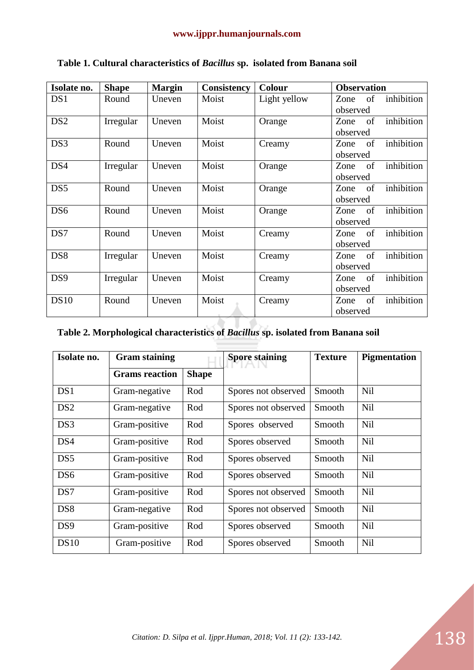| Isolate no.     | <b>Shape</b> | <b>Margin</b> | Consistency | <b>Colour</b> | <b>Observation</b>       |  |
|-----------------|--------------|---------------|-------------|---------------|--------------------------|--|
| DS <sub>1</sub> | Round        | Uneven        | Moist       | Light yellow  | inhibition<br>of<br>Zone |  |
|                 |              |               |             |               | observed                 |  |
| DS <sub>2</sub> | Irregular    | Uneven        | Moist       | Orange        | inhibition<br>of<br>Zone |  |
|                 |              |               |             |               | observed                 |  |
| DS3             | Round        | Uneven        | Moist       | Creamy        | inhibition<br>of<br>Zone |  |
|                 |              |               |             |               | observed                 |  |
| DS4             | Irregular    | Uneven        | Moist       | Orange        | inhibition<br>of<br>Zone |  |
|                 |              |               |             |               | observed                 |  |
| DS5             | Round        | Uneven        | Moist       | Orange        | inhibition<br>of<br>Zone |  |
|                 |              |               |             |               | observed                 |  |
| DS6             | Round        | Uneven        | Moist       | Orange        | inhibition<br>of<br>Zone |  |
|                 |              |               |             |               | observed                 |  |
| DS7             | Round        | Uneven        | Moist       | Creamy        | inhibition<br>of<br>Zone |  |
|                 |              |               |             |               | observed                 |  |
| DS <sub>8</sub> | Irregular    | Uneven        | Moist       | Creamy        | inhibition<br>of<br>Zone |  |
|                 |              |               |             |               | observed                 |  |
| DS <sub>9</sub> | Irregular    | Uneven        | Moist       | Creamy        | inhibition<br>of<br>Zone |  |
|                 |              |               |             |               | observed                 |  |
| <b>DS10</b>     | Round        | Uneven        | Moist       | Creamy        | inhibition<br>of<br>Zone |  |
|                 |              |               |             |               | observed                 |  |

# **Table 1. Cultural characteristics of** *Bacillus* **sp. isolated from Banana soil**

# **Table 2. Morphological characteristics of** *Bacillus* **sp. isolated from Banana soil**

| Isolate no.     | <b>Gram staining</b>  |              | <b>Spore staining</b> | <b>Texture</b> | <b>Pigmentation</b> |
|-----------------|-----------------------|--------------|-----------------------|----------------|---------------------|
|                 | <b>Grams</b> reaction | <b>Shape</b> |                       |                |                     |
| DS1             | Gram-negative         | Rod          | Spores not observed   | Smooth         | <b>Nil</b>          |
| DS <sub>2</sub> | Gram-negative         | Rod          | Spores not observed   | Smooth         | <b>Nil</b>          |
| DS3             | Gram-positive         | Rod          | Spores observed       | Smooth         | <b>Nil</b>          |
| DS4             | Gram-positive         | Rod          | Spores observed       | Smooth         | <b>Nil</b>          |
| DS <sub>5</sub> | Gram-positive         | Rod          | Spores observed       | Smooth         | <b>Nil</b>          |
| DS <sub>6</sub> | Gram-positive         | Rod          | Spores observed       | Smooth         | <b>Nil</b>          |
| DS7             | Gram-positive         | Rod          | Spores not observed   | Smooth         | <b>Nil</b>          |
| DS <sub>8</sub> | Gram-negative         | Rod          | Spores not observed   | Smooth         | <b>Nil</b>          |
| DS <sub>9</sub> | Gram-positive         | Rod          | Spores observed       | Smooth         | Nil                 |
| <b>DS10</b>     | Gram-positive         | Rod          | Spores observed       | Smooth         | <b>Nil</b>          |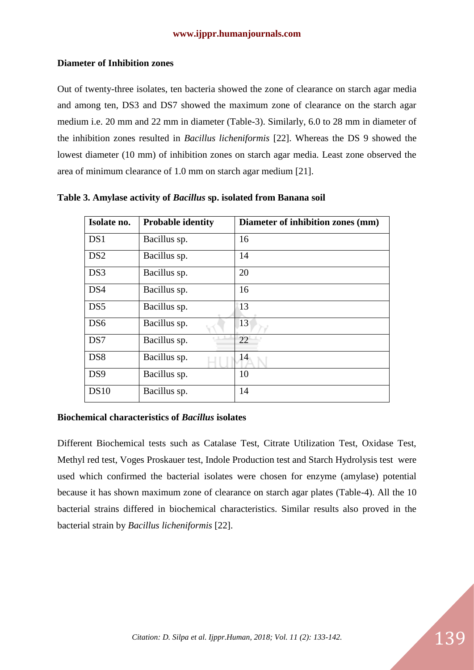# **Diameter of Inhibition zones**

Out of twenty-three isolates, ten bacteria showed the zone of clearance on starch agar media and among ten, DS3 and DS7 showed the maximum zone of clearance on the starch agar medium i.e. 20 mm and 22 mm in diameter (Table-3). Similarly, 6.0 to 28 mm in diameter of the inhibition zones resulted in *Bacillus licheniformis* [22]. Whereas the DS 9 showed the lowest diameter (10 mm) of inhibition zones on starch agar media. Least zone observed the area of minimum clearance of 1.0 mm on starch agar medium [21].

| Isolate no.     | <b>Probable identity</b> | Diameter of inhibition zones (mm) |
|-----------------|--------------------------|-----------------------------------|
| DS1             | Bacillus sp.             | 16                                |
| DS <sub>2</sub> | Bacillus sp.             | 14                                |
| DS3             | Bacillus sp.             | 20                                |
| DS4             | Bacillus sp.             | 16                                |
| DS <sub>5</sub> | Bacillus sp.             | 13                                |
| DS <sub>6</sub> | Bacillus sp.             | 13                                |
| DS7             | Bacillus sp.             | 22                                |
| DS <sub>8</sub> | Bacillus sp.             | 14                                |
| DS <sub>9</sub> | Bacillus sp.             | 10                                |
| <b>DS10</b>     | Bacillus sp.             | 14                                |

**Table 3. Amylase activity of** *Bacillus* **sp. isolated from Banana soil**

#### **Biochemical characteristics of** *Bacillus* **isolates**

Different Biochemical tests such as Catalase Test, Citrate Utilization Test, Oxidase Test, Methyl red test, Voges Proskauer test, Indole Production test and Starch Hydrolysis test were used which confirmed the bacterial isolates were chosen for enzyme (amylase) potential because it has shown maximum zone of clearance on starch agar plates (Table-4). All the 10 bacterial strains differed in biochemical characteristics. Similar results also proved in the bacterial strain by *Bacillus licheniformis* [22].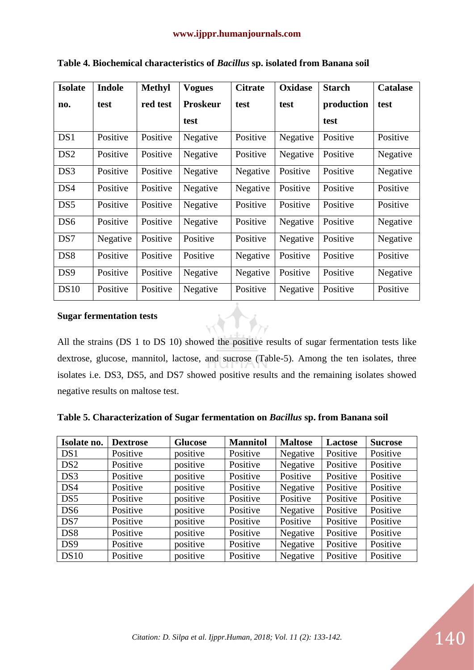| <b>Isolate</b>  | <b>Indole</b> | <b>Methyl</b> | <b>Vogues</b>   | <b>Citrate</b> | <b>Oxidase</b> | <b>Starch</b> | <b>Catalase</b> |
|-----------------|---------------|---------------|-----------------|----------------|----------------|---------------|-----------------|
| no.             | test          | red test      | <b>Proskeur</b> | test           | test           | production    | test            |
|                 |               |               | test            |                |                | test          |                 |
| DS1             | Positive      | Positive      | Negative        | Positive       | Negative       | Positive      | Positive        |
| DS <sub>2</sub> | Positive      | Positive      | Negative        | Positive       | Negative       | Positive      | Negative        |
| DS3             | Positive      | Positive      | Negative        | Negative       | Positive       | Positive      | Negative        |
| DS4             | Positive      | Positive      | Negative        | Negative       | Positive       | Positive      | Positive        |
| DS5             | Positive      | Positive      | Negative        | Positive       | Positive       | Positive      | Positive        |
| DS <sub>6</sub> | Positive      | Positive      | Negative        | Positive       | Negative       | Positive      | Negative        |
| DS7             | Negative      | Positive      | Positive        | Positive       | Negative       | Positive      | Negative        |
| DS <sub>8</sub> | Positive      | Positive      | Positive        | Negative       | Positive       | Positive      | Positive        |
| DS <sub>9</sub> | Positive      | Positive      | Negative        | Negative       | Positive       | Positive      | Negative        |
| <b>DS10</b>     | Positive      | Positive      | Negative        | Positive       | Negative       | Positive      | Positive        |

**Table 4. Biochemical characteristics of** *Bacillus* **sp. isolated from Banana soil**

#### **Sugar fermentation tests**

All the strains (DS 1 to DS 10) showed the positive results of sugar fermentation tests like dextrose, glucose, mannitol, lactose, and sucrose (Table-5). Among the ten isolates, three isolates i.e. DS3, DS5, and DS7 showed positive results and the remaining isolates showed negative results on maltose test.

**Table 5. Characterization of Sugar fermentation on** *Bacillus* **sp. from Banana soil**

| Isolate no.     | <b>Dextrose</b> | <b>Glucose</b> | <b>Mannitol</b> | <b>Maltose</b> | <b>Lactose</b> | <b>Sucrose</b> |
|-----------------|-----------------|----------------|-----------------|----------------|----------------|----------------|
| DS1             | Positive        | positive       | Positive        | Negative       | Positive       | Positive       |
| DS <sub>2</sub> | Positive        | positive       | Positive        | Negative       | Positive       | Positive       |
| DS3             | Positive        | positive       | Positive        | Positive       | Positive       | Positive       |
| DS4             | Positive        | positive       | Positive        | Negative       | Positive       | Positive       |
| DS5             | Positive        | positive       | Positive        | Positive       | Positive       | Positive       |
| DS <sub>6</sub> | Positive        | positive       | Positive        | Negative       | Positive       | Positive       |
| DS7             | Positive        | positive       | Positive        | Positive       | Positive       | Positive       |
| DS <sub>8</sub> | Positive        | positive       | Positive        | Negative       | Positive       | Positive       |
| DS <sub>9</sub> | Positive        | positive       | Positive        | Negative       | Positive       | Positive       |
| DS10            | Positive        | positive       | Positive        | Negative       | Positive       | Positive       |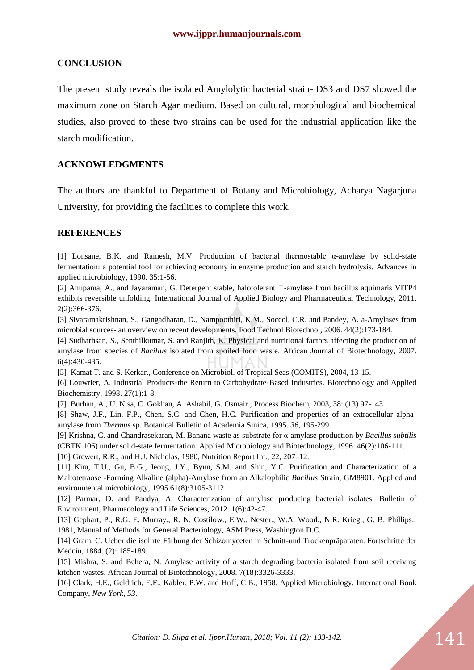#### **CONCLUSION**

The present study reveals the isolated Amylolytic bacterial strain- DS3 and DS7 showed the maximum zone on Starch Agar medium. Based on cultural, morphological and biochemical studies, also proved to these two strains can be used for the industrial application like the starch modification.

## **ACKNOWLEDGMENTS**

The authors are thankful to Department of Botany and Microbiology, Acharya Nagarjuna University, for providing the facilities to complete this work.

#### **REFERENCES**

[1] Lonsane, B.K. and Ramesh, M.V. Production of bacterial thermostable α-amylase by solid-state fermentation: a potential tool for achieving economy in enzyme production and starch hydrolysis. Advances in applied microbiology, 1990. 35:1-56.

[2] Anupama, A., and Jayaraman, G. Detergent stable, halotolerant  $\Box$ -amylase from bacillus aquimaris VITP4 exhibits reversible unfolding. International Journal of Applied Biology and Pharmaceutical Technology, 2011. 2(2):366-376.

[3] Sivaramakrishnan, S., Gangadharan, D., Nampoothiri, K.M., Soccol, C.R. and Pandey, A. a-Amylases from microbial sources- an overview on recent developments. Food Technol Biotechnol, 2006. 44(2):173-184.

[4] Sudharhsan, S., Senthilkumar, S. and Ranjith, K. Physical and nutritional factors affecting the production of amylase from species of *Bacillus* isolated from spoiled food waste. African Journal of Biotechnology, 2007. 6(4):430-435.

[5] Kamat T. and S. Kerkar., Conference on Microbiol. of Tropical Seas (COMITS), 2004, 13-15.

[6] Louwrier, A. Industrial Products‐the Return to Carbohydrate‐Based Industries. Biotechnology and Applied Biochemistry, 1998. 27(1):1-8.

[7] Burhan, A., U. Nisa, C. Gokhan, A. Ashabil, G. Osmair., Process Biochem, 2003, 38: (13) 97-143.

[8] Shaw, J.F., Lin, F.P., Chen, S.C. and Chen, H.C. Purification and properties of an extracellular alphaamylase from *Thermus* sp. Botanical Bulletin of Academia Sinica, 1995. *36*, 195-299.

[9] Krishna, C. and Chandrasekaran, M. Banana waste as substrate for α-amylase production by *Bacillus subtilis*  (CBTK 106) under solid-state fermentation. Applied Microbiology and Biotechnology, 1996. 46(2):106-111.

[10] Grewert, R.R., and H.J. Nicholas, 1980, Nutrition Report Int., 22, 207–12.

[11] Kim, T.U., Gu, B.G., Jeong, J.Y., Byun, S.M. and Shin, Y.C. Purification and Characterization of a Maltotetraose -Forming Alkaline (alpha)-Amylase from an Alkalophilic *Bacillus* Strain, GM8901. Applied and environmental microbiology, 1995.61(8):3105-3112.

[12] Parmar, D. and Pandya, A. Characterization of amylase producing bacterial isolates. Bulletin of Environment, Pharmacology and Life Sciences, 2012. 1(6):42-47.

[13] Gephart, P., R.G. E. Murray., R. N. Costilow., E.W., Nester., W.A. Wood., N.R. Krieg., G. B. Phillips., 1981, Manual of Methods for General Bacteriology, ASM Press, Washington D.C.

[14] Gram, C. Ueber die isolirte Färbung der Schizomyceten in Schnitt-und Trockenpräparaten. Fortschritte der Medcin, 1884. (2): 185-189.

[15] Mishra, S. and Behera, N. Amylase activity of a starch degrading bacteria isolated from soil receiving kitchen wastes. African Journal of Biotechnology, 2008. 7(18):3326-3333.

[16] Clark, H.E., Geldrich, E.F., Kabler, P.W. and Huff, C.B., 1958. Applied Microbiology. International Book Company, *New York*, *53*.